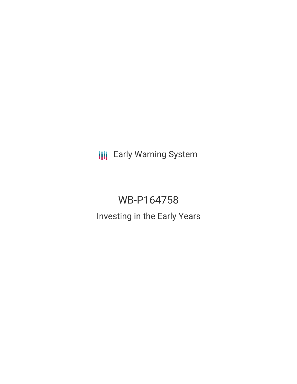**III** Early Warning System

# WB-P164758 Investing in the Early Years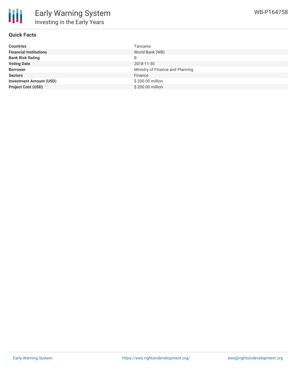# **Quick Facts**

| <b>Countries</b>               | Tanzania                         |
|--------------------------------|----------------------------------|
| <b>Financial Institutions</b>  | World Bank (WB)                  |
| <b>Bank Risk Rating</b>        | B                                |
| <b>Voting Date</b>             | 2018-11-30                       |
| <b>Borrower</b>                | Ministry of Finance and Planning |
| <b>Sectors</b>                 | Finance                          |
| <b>Investment Amount (USD)</b> | \$200.00 million                 |
| <b>Project Cost (USD)</b>      | \$200.00 million                 |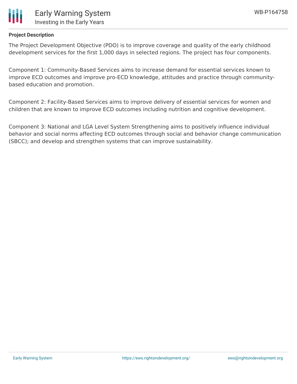



# **Project Description**

The Project Development Objective (PDO) is to improve coverage and quality of the early childhood development services for the first 1,000 days in selected regions. The project has four components.

Component 1: Community-Based Services aims to increase demand for essential services known to improve ECD outcomes and improve pro-ECD knowledge, attitudes and practice through communitybased education and promotion.

Component 2: Facility-Based Services aims to improve delivery of essential services for women and children that are known to improve ECD outcomes including nutrition and cognitive development.

Component 3: National and LGA Level System Strengthening aims to positively influence individual behavior and social norms affecting ECD outcomes through social and behavior change communication (SBCC); and develop and strengthen systems that can improve sustainability.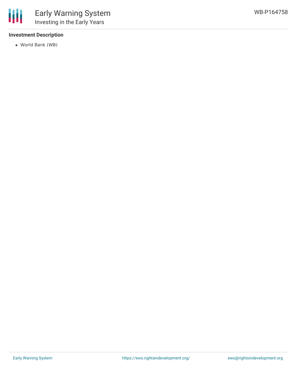## **Investment Description**

World Bank (WB)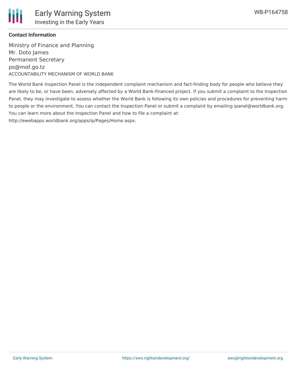

### **Contact Information**

Ministry of Finance and Planning Mr. Doto James Permanent Secretary ps@mof.go.tz ACCOUNTABILITY MECHANISM OF WORLD BANK

The World Bank Inspection Panel is the independent complaint mechanism and fact-finding body for people who believe they are likely to be, or have been, adversely affected by a World Bank-financed project. If you submit a complaint to the Inspection Panel, they may investigate to assess whether the World Bank is following its own policies and procedures for preventing harm to people or the environment. You can contact the Inspection Panel or submit a complaint by emailing ipanel@worldbank.org. You can learn more about the Inspection Panel and how to file a complaint at: http://ewebapps.worldbank.org/apps/ip/Pages/Home.aspx.